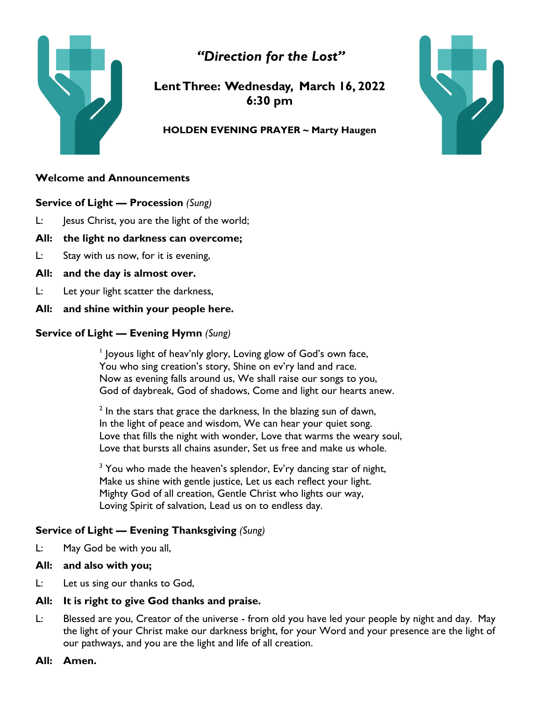



**Lent Three: Wednesday, March 16, 2022 6:30 pm**

#### **HOLDEN EVENING PRAYER ~ Marty Haugen**

## **Welcome and Announcements**

**Service of Light — Procession** *(Sung)*

- L: Jesus Christ, you are the light of the world;
- **All: the light no darkness can overcome;**
- L: Stay with us now, for it is evening,
- **All: and the day is almost over.**
- L: Let your light scatter the darkness,
- **All: and shine within your people here.**

# **Service of Light — Evening Hymn** *(Sung)*

<sup>1</sup> Joyous light of heav'nly glory, Loving glow of God's own face, You who sing creation's story, Shine on ev'ry land and race. Now as evening falls around us, We shall raise our songs to you, God of daybreak, God of shadows, Come and light our hearts anew.

 $2$  In the stars that grace the darkness, In the blazing sun of dawn, In the light of peace and wisdom, We can hear your quiet song. Love that fills the night with wonder, Love that warms the weary soul, Love that bursts all chains asunder, Set us free and make us whole.

 $3$  You who made the heaven's splendor, Ev'ry dancing star of night, Make us shine with gentle justice, Let us each reflect your light. Mighty God of all creation, Gentle Christ who lights our way, Loving Spirit of salvation, Lead us on to endless day.

# **Service of Light — Evening Thanksgiving** *(Sung)*

L: May God be with you all,

### **All: and also with you;**

L: Let us sing our thanks to God,

# **All: It is right to give God thanks and praise.**

- L: Blessed are you, Creator of the universe from old you have led your people by night and day. May the light of your Christ make our darkness bright, for your Word and your presence are the light of our pathways, and you are the light and life of all creation.
- **All: Amen.**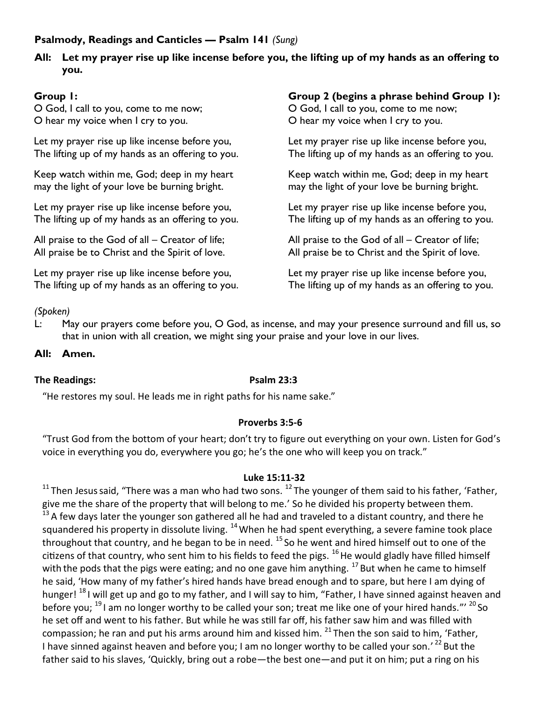# **Psalmody, Readings and Canticles — Psalm 141** *(Sung)*

## **All: Let my prayer rise up like incense before you, the lifting up of my hands as an offering to you.**

# **Group 1:**

O God, I call to you, come to me now; O hear my voice when I cry to you.

Let my prayer rise up like incense before you, The lifting up of my hands as an offering to you.

Keep watch within me, God; deep in my heart may the light of your love be burning bright.

Let my prayer rise up like incense before you, The lifting up of my hands as an offering to you.

All praise to the God of all – Creator of life; All praise be to Christ and the Spirit of love.

Let my prayer rise up like incense before you, The lifting up of my hands as an offering to you.

# **Group 2 (begins a phrase behind Group 1):**

O God, I call to you, come to me now; O hear my voice when I cry to you.

Let my prayer rise up like incense before you, The lifting up of my hands as an offering to you.

Keep watch within me, God; deep in my heart may the light of your love be burning bright.

Let my prayer rise up like incense before you, The lifting up of my hands as an offering to you.

All praise to the God of all – Creator of life; All praise be to Christ and the Spirit of love.

Let my prayer rise up like incense before you, The lifting up of my hands as an offering to you.

### *(Spoken)*

L: May our prayers come before you, O God, as incense, and may your presence surround and fill us, so that in union with all creation, we might sing your praise and your love in our lives.

### **All: Amen.**

#### **The Readings: Psalm 23:3**

"He restores my soul. He leads me in right paths for his name sake."

#### **Proverbs 3:5-6**

"Trust God from the bottom of your heart; don't try to figure out everything on your own. Listen for God's voice in everything you do, everywhere you go; he's the one who will keep you on track."

#### **Luke 15:11-32**

<sup>11</sup> Then Jesus said, "There was a man who had two sons. <sup>12</sup> The younger of them said to his father, 'Father, give me the share of the property that will belong to me.' So he divided his property between them.  $13$  A few days later the younger son gathered all he had and traveled to a distant country, and there he squandered his property in dissolute living. <sup>14</sup> When he had spent everything, a severe famine took place throughout that country, and he began to be in need. <sup>15</sup> So he went and hired himself out to one of the citizens of that country, who sent him to his fields to feed the pigs.  $^{16}$  He would gladly have filled himself with the pods that the pigs were eating; and no one gave him anything. <sup>17</sup> But when he came to himself he said, 'How many of my father's hired hands have bread enough and to spare, but here I am dying of hunger! <sup>18</sup> I will get up and go to my father, and I will say to him, "Father, I have sinned against heaven and before you; <sup>19</sup> I am no longer worthy to be called your son; treat me like one of your hired hands."' <sup>20</sup> So he set off and went to his father. But while he was still far off, his father saw him and was filled with compassion; he ran and put his arms around him and kissed him.  $^{21}$  Then the son said to him. 'Father. I have sinned against heaven and before you; I am no longer worthy to be called your son.' <sup>22</sup> But the father said to his slaves, 'Quickly, bring out a robe—the best one—and put it on him; put a ring on his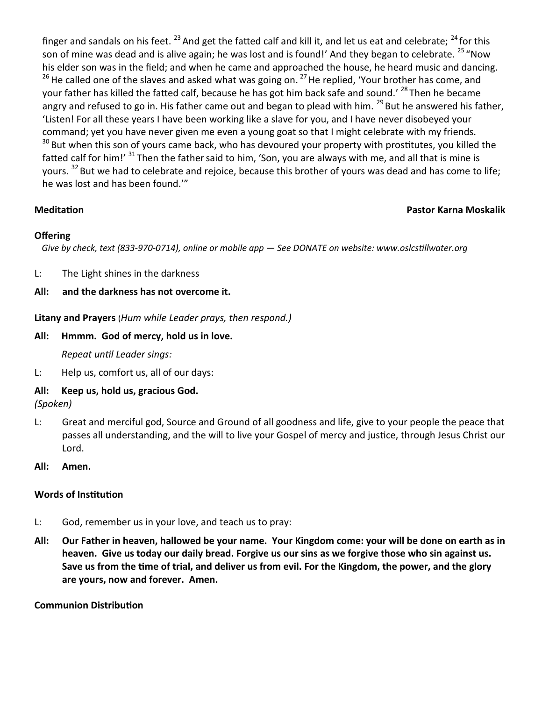finger and sandals on his feet.  $^{23}$  And get the fatted calf and kill it, and let us eat and celebrate;  $^{24}$  for this son of mine was dead and is alive again; he was lost and is found!' And they began to celebrate. <sup>25</sup> "Now his elder son was in the field; and when he came and approached the house, he heard music and dancing.  $26$  He called one of the slaves and asked what was going on.  $27$  He replied, 'Your brother has come, and your father has killed the fatted calf, because he has got him back safe and sound.' <sup>28</sup> Then he became angry and refused to go in. His father came out and began to plead with him. <sup>29</sup> But he answered his father, 'Listen! For all these years I have been working like a slave for you, and I have never disobeyed your command; yet you have never given me even a young goat so that I might celebrate with my friends. <sup>30</sup> But when this son of yours came back, who has devoured your property with prostitutes, you killed the fatted calf for him!' <sup>31</sup> Then the father said to him, 'Son, you are always with me, and all that is mine is yours. <sup>32</sup> But we had to celebrate and rejoice, because this brother of yours was dead and has come to life; he was lost and has been found.'"

# **Meditation Pastor Karna Moskalik**

# **Offering**

 *Give by check, text (833-970-0714), online or mobile app — See DONATE on website: www.oslcstillwater.org*

L: The Light shines in the darkness

# **All: and the darkness has not overcome it.**

**Litany and Prayers** (*Hum while Leader prays, then respond.)*

# **All: Hmmm. God of mercy, hold us in love.**

*Repeat until Leader sings:*

L: Help us, comfort us, all of our days:

# **All: Keep us, hold us, gracious God.**

*(Spoken)*

- L: Great and merciful god, Source and Ground of all goodness and life, give to your people the peace that passes all understanding, and the will to live your Gospel of mercy and justice, through Jesus Christ our Lord.
- **All: Amen.**

# **Words of Institution**

- L: God, remember us in your love, and teach us to pray:
- **All: Our Father in heaven, hallowed be your name. Your Kingdom come: your will be done on earth as in heaven. Give us today our daily bread. Forgive us our sins as we forgive those who sin against us. Save us from the time of trial, and deliver us from evil. For the Kingdom, the power, and the glory are yours, now and forever. Amen.**

### **Communion Distribution**